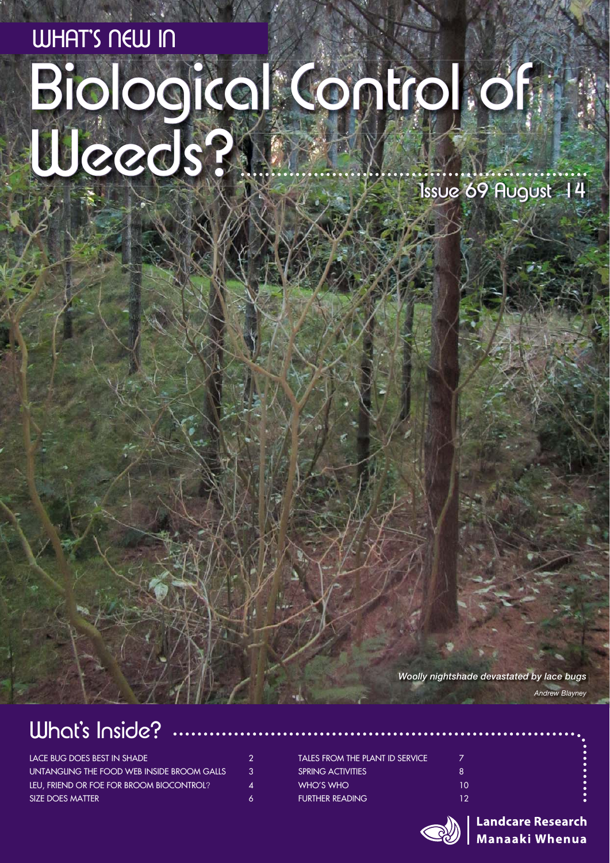# WHAT'S NEW IN<br>Biological Control of W Weeds? Issue 69 August 14

*Woolly nightshade devastated by lace bugs*

### What's Inside?

| LACE BUG DOES BEST IN SHADE                | 2  |
|--------------------------------------------|----|
| UNTANGLING THE FOOD WEB INSIDE BROOM GALLS | 3. |
| LEU, FRIEND OR FOE FOR BROOM BIOCONTROL?   | 4  |
| SIZE DOES MATTER                           | 6. |

| TALES FROM THE PLANT ID SERVICE |     |
|---------------------------------|-----|
| <b>SPRING ACTIVITIES</b>        | Β.  |
| WHO'S WHO                       | 10  |
| FURTHER READING                 | 12. |



**Landcare Research Manaaki Whenua** 

*Andrew Blayney*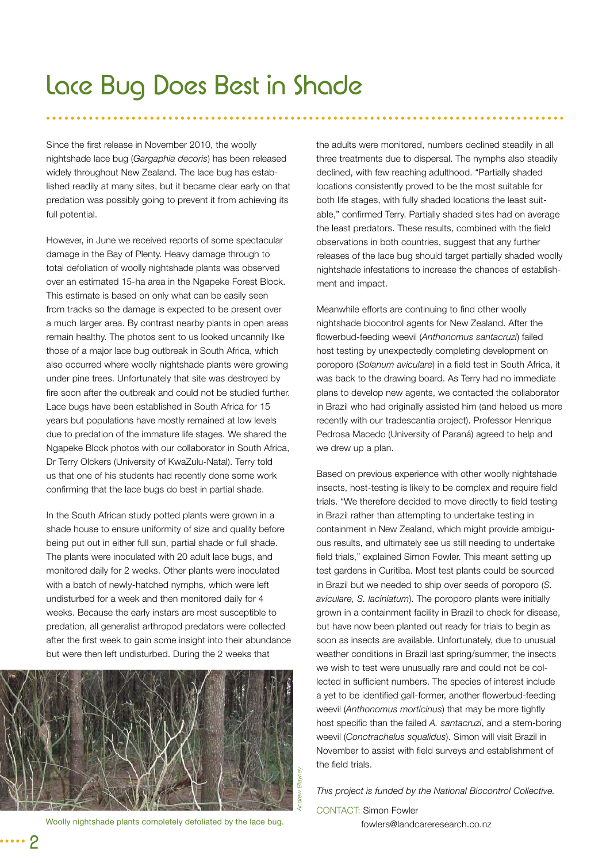### Lace Bug Does Best in Shade

Since the first release in November 2010, the woolly nightshade lace bug (*Gargaphia decoris*) has been released widely throughout New Zealand. The lace bug has established readily at many sites, but it became clear early on that predation was possibly going to prevent it from achieving its full potential.

However, in June we received reports of some spectacular damage in the Bay of Plenty. Heavy damage through to total defoliation of woolly nightshade plants was observed over an estimated 15-ha area in the Ngapeke Forest Block. This estimate is based on only what can be easily seen from tracks so the damage is expected to be present over a much larger area. By contrast nearby plants in open areas remain healthy. The photos sent to us looked uncannily like those of a major lace bug outbreak in South Africa, which also occurred where woolly nightshade plants were growing under pine trees. Unfortunately that site was destroyed by fire soon after the outbreak and could not be studied further. Lace bugs have been established in South Africa for 15 years but populations have mostly remained at low levels due to predation of the immature life stages. We shared the Ngapeke Block photos with our collaborator in South Africa, Dr Terry Olckers (University of KwaZulu-Natal). Terry told us that one of his students had recently done some work confirming that the lace bugs do best in partial shade.

In the South African study potted plants were grown in a shade house to ensure uniformity of size and quality before being put out in either full sun, partial shade or full shade. The plants were inoculated with 20 adult lace bugs, and monitored daily for 2 weeks. Other plants were inoculated with a batch of newly-hatched nymphs, which were left undisturbed for a week and then monitored daily for 4 weeks. Because the early instars are most susceptible to predation, all generalist arthropod predators were collected after the first week to gain some insight into their abundance but were then left undisturbed. During the 2 weeks that



Woolly nightshade plants completely defoliated by the lace bug.

the adults were monitored, numbers declined steadily in all three treatments due to dispersal. The nymphs also steadily declined, with few reaching adulthood. "Partially shaded locations consistently proved to be the most suitable for both life stages, with fully shaded locations the least suitable," confirmed Terry. Partially shaded sites had on average the least predators. These results, combined with the field observations in both countries, suggest that any further releases of the lace bug should target partially shaded woolly nightshade infestations to increase the chances of establishment and impact.

Meanwhile efforts are continuing to find other woolly nightshade biocontrol agents for New Zealand. After the flowerbud-feeding weevil (Anthonomus santacruzi) failed host testing by unexpectedly completing development on poroporo (Solanum aviculare) in a field test in South Africa, it was back to the drawing board. As Terry had no immediate plans to develop new agents, we contacted the collaborator in Brazil who had originally assisted him (and helped us more recently with our tradescantia project). Professor Henrique Pedrosa Macedo (University of Paraná) agreed to help and we drew up a plan.

Based on previous experience with other woolly nightshade insects, host-testing is likely to be complex and require field trials. "We therefore decided to move directly to field testing in Brazil rather than attempting to undertake testing in containment in New Zealand, which might provide ambiguous results, and ultimately see us still needing to undertake field trials," explained Simon Fowler. This meant setting up test gardens in Curitiba. Most test plants could be sourced in Brazil but we needed to ship over seeds of poroporo (*S. aviculare, S. laciniatum*). The poroporo plants were initially grown in a containment facility in Brazil to check for disease, but have now been planted out ready for trials to begin as soon as insects are available. Unfortunately, due to unusual weather conditions in Brazil last spring/summer, the insects we wish to test were unusually rare and could not be collected in sufficient numbers. The species of interest include a yet to be identified gall-former, another flowerbud-feeding weevil (*Anthonomus morticinus*) that may be more tightly host specific than the failed A. santacruzi, and a stem-boring weevil (*Conotrachelus squalidus*). Simon will visit Brazil in November to assist with field surveys and establishment of the field trials.

*This project is funded by the National Biocontrol Collective.* 

CONTACT: Simon Fowler fowlers@landcareresearch.co.nz

2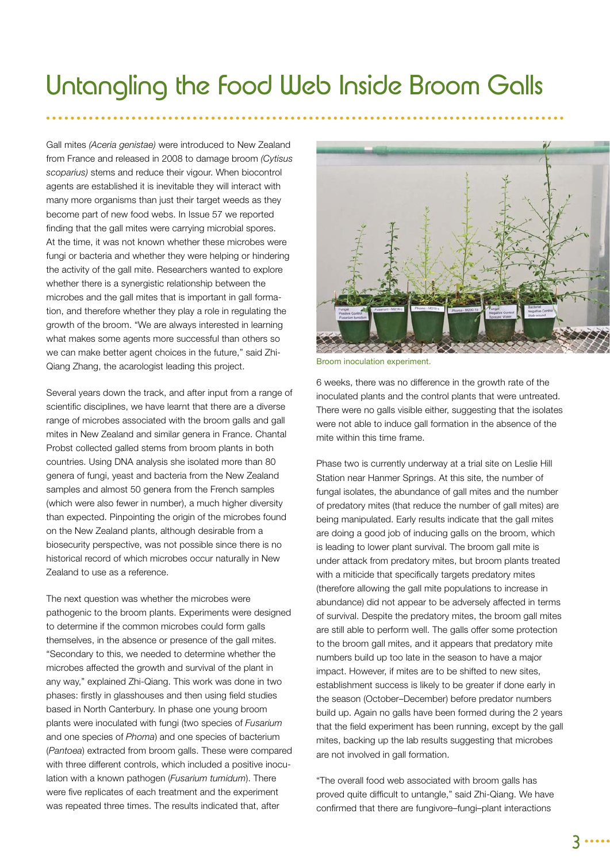### Untangling the Food Web Inside Broom Galls

Gall mites *(Aceria genistae)* were introduced to New Zealand from France and released in 2008 to damage broom *(Cytisus scoparius)* stems and reduce their vigour. When biocontrol agents are established it is inevitable they will interact with many more organisms than just their target weeds as they become part of new food webs. In Issue 57 we reported finding that the gall mites were carrying microbial spores. At the time, it was not known whether these microbes were fungi or bacteria and whether they were helping or hindering the activity of the gall mite. Researchers wanted to explore whether there is a synergistic relationship between the microbes and the gall mites that is important in gall formation, and therefore whether they play a role in regulating the growth of the broom. "We are always interested in learning what makes some agents more successful than others so we can make better agent choices in the future," said Zhi-Qiang Zhang, the acarologist leading this project.

Several years down the track, and after input from a range of scientific disciplines, we have learnt that there are a diverse range of microbes associated with the broom galls and gall mites in New Zealand and similar genera in France. Chantal Probst collected galled stems from broom plants in both countries. Using DNA analysis she isolated more than 80 genera of fungi, yeast and bacteria from the New Zealand samples and almost 50 genera from the French samples (which were also fewer in number), a much higher diversity than expected. Pinpointing the origin of the microbes found on the New Zealand plants, although desirable from a biosecurity perspective, was not possible since there is no historical record of which microbes occur naturally in New Zealand to use as a reference.

The next question was whether the microbes were pathogenic to the broom plants. Experiments were designed to determine if the common microbes could form galls themselves, in the absence or presence of the gall mites. "Secondary to this, we needed to determine whether the microbes affected the growth and survival of the plant in any way," explained Zhi-Qiang. This work was done in two phases: firstly in glasshouses and then using field studies based in North Canterbury. In phase one young broom plants were inoculated with fungi (two species of *Fusarium* and one species of *Phoma*) and one species of bacterium (*Pantoea*) extracted from broom galls. These were compared with three different controls, which included a positive inoculation with a known pathogen (*Fusarium tumidum*). There were five replicates of each treatment and the experiment was repeated three times. The results indicated that, after



Broom inoculation experiment.

6 weeks, there was no difference in the growth rate of the inoculated plants and the control plants that were untreated. There were no galls visible either, suggesting that the isolates were not able to induce gall formation in the absence of the mite within this time frame.

Phase two is currently underway at a trial site on Leslie Hill Station near Hanmer Springs. At this site, the number of fungal isolates, the abundance of gall mites and the number of predatory mites (that reduce the number of gall mites) are being manipulated. Early results indicate that the gall mites are doing a good job of inducing galls on the broom, which is leading to lower plant survival. The broom gall mite is under attack from predatory mites, but broom plants treated with a miticide that specifically targets predatory mites (therefore allowing the gall mite populations to increase in abundance) did not appear to be adversely affected in terms of survival. Despite the predatory mites, the broom gall mites are still able to perform well. The galls offer some protection to the broom gall mites, and it appears that predatory mite numbers build up too late in the season to have a major impact. However, if mites are to be shifted to new sites, establishment success is likely to be greater if done early in the season (October–December) before predator numbers build up. Again no galls have been formed during the 2 years that the field experiment has been running, except by the gall mites, backing up the lab results suggesting that microbes are not involved in gall formation.

"The overall food web associated with broom galls has proved quite difficult to untangle," said Zhi-Qiang. We have confirmed that there are fungivore–fungi–plant interactions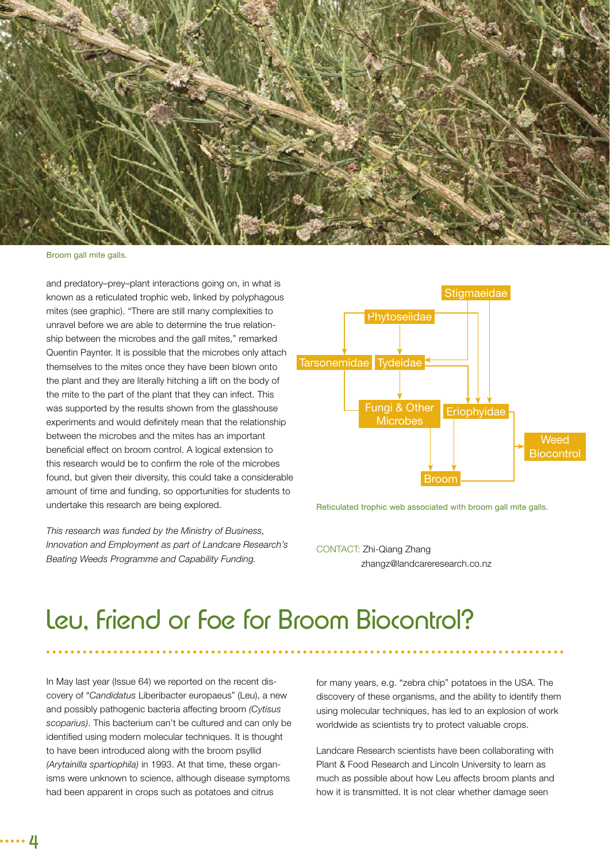

Broom gall mite galls.

and predatory–prey–plant interactions going on, in what is known as a reticulated trophic web, linked by polyphagous mites (see graphic). "There are still many complexities to unravel before we are able to determine the true relationship between the microbes and the gall mites," remarked Quentin Paynter. It is possible that the microbes only attach themselves to the mites once they have been blown onto the plant and they are literally hitching a lift on the body of the mite to the part of the plant that they can infect. This was supported by the results shown from the glasshouse experiments and would definitely mean that the relationship between the microbes and the mites has an important beneficial effect on broom control. A logical extension to this research would be to confirm the role of the microbes found, but given their diversity, this could take a considerable amount of time and funding, so opportunities for students to undertake this research are being explored.

*This research was funded by the Ministry of Business, Innovation and Employment as part of Landcare Research's Beating Weeds Programme and Capability Funding.*



Reticulated trophic web associated with broom gall mite galls.

CONTACT: Zhi-Qiang Zhang zhangz@landcareresearch.co.nz

### Leu, Friend or Foe for Broom Biocontrol?

In May last year (Issue 64) we reported on the recent discovery of "*Candidatus* Liberibacter europaeus" (Leu), a new and possibly pathogenic bacteria affecting broom *(Cytisus scoparius)*. This bacterium can't be cultured and can only be identified using modern molecular techniques. It is thought to have been introduced along with the broom psyllid *(Arytainilla spartiophila)* in 1993. At that time, these organisms were unknown to science, although disease symptoms had been apparent in crops such as potatoes and citrus

for many years, e.g. "zebra chip" potatoes in the USA. The discovery of these organisms, and the ability to identify them using molecular techniques, has led to an explosion of work worldwide as scientists try to protect valuable crops.

Landcare Research scientists have been collaborating with Plant & Food Research and Lincoln University to learn as much as possible about how Leu affects broom plants and how it is transmitted. It is not clear whether damage seen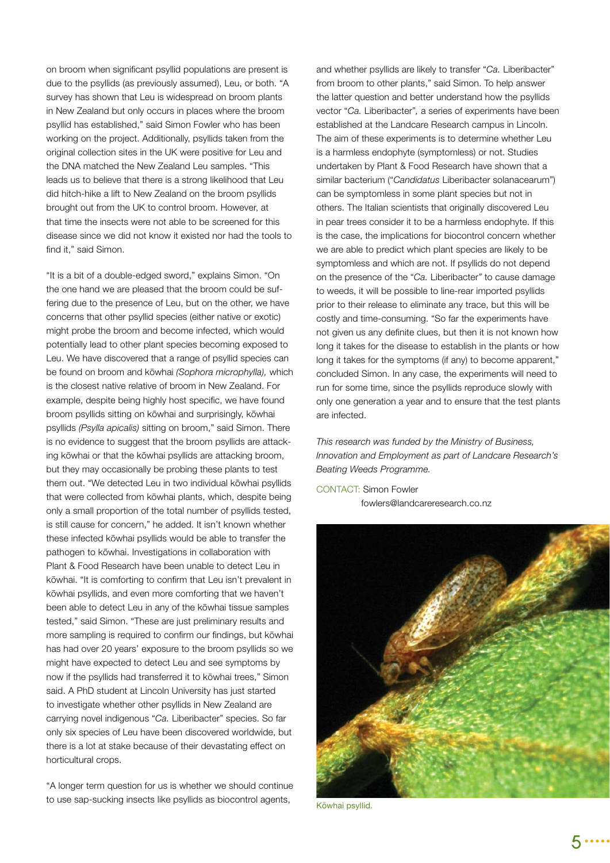on broom when significant psyllid populations are present is due to the psyllids (as previously assumed), Leu, or both. "A survey has shown that Leu is widespread on broom plants in New Zealand but only occurs in places where the broom psyllid has established," said Simon Fowler who has been working on the project. Additionally, psyllids taken from the original collection sites in the UK were positive for Leu and the DNA matched the New Zealand Leu samples. "This leads us to believe that there is a strong likelihood that Leu did hitch-hike a lift to New Zealand on the broom psyllids brought out from the UK to control broom. However, at that time the insects were not able to be screened for this disease since we did not know it existed nor had the tools to find it," said Simon.

"It is a bit of a double-edged sword," explains Simon. "On the one hand we are pleased that the broom could be suffering due to the presence of Leu, but on the other, we have concerns that other psyllid species (either native or exotic) might probe the broom and become infected, which would potentially lead to other plant species becoming exposed to Leu. We have discovered that a range of psyllid species can be found on broom and kōwhai *(Sophora microphylla),* which is the closest native relative of broom in New Zealand. For example, despite being highly host specific, we have found broom psyllids sitting on kōwhai and surprisingly, kōwhai psyllids *(Psylla apicalis)* sitting on broom," said Simon. There is no evidence to suggest that the broom psyllids are attacking kōwhai or that the kōwhai psyllids are attacking broom, but they may occasionally be probing these plants to test them out. "We detected Leu in two individual kōwhai psyllids that were collected from kōwhai plants, which, despite being only a small proportion of the total number of psyllids tested, is still cause for concern," he added. It isn't known whether these infected kōwhai psyllids would be able to transfer the pathogen to kōwhai. Investigations in collaboration with Plant & Food Research have been unable to detect Leu in kōwhai. "It is comforting to confirm that Leu isn't prevalent in kōwhai psyllids, and even more comforting that we haven't been able to detect Leu in any of the kōwhai tissue samples tested," said Simon. "These are just preliminary results and more sampling is required to confirm our findings, but kōwhai has had over 20 years' exposure to the broom psyllids so we might have expected to detect Leu and see symptoms by now if the psyllids had transferred it to kōwhai trees," Simon said. A PhD student at Lincoln University has just started to investigate whether other psyllids in New Zealand are carrying novel indigenous "*Ca.* Liberibacter" species. So far only six species of Leu have been discovered worldwide, but there is a lot at stake because of their devastating effect on horticultural crops.

"A longer term question for us is whether we should continue to use sap-sucking insects like psyllids as biocontrol agents,

and whether psyllids are likely to transfer "*Ca.* Liberibacter" from broom to other plants," said Simon. To help answer the latter question and better understand how the psyllids vector "*Ca.* Liberibacter"*,* a series of experiments have been established at the Landcare Research campus in Lincoln. The aim of these experiments is to determine whether Leu is a harmless endophyte (symptomless) or not. Studies undertaken by Plant & Food Research have shown that a similar bacterium ("*Candidatus* Liberibacter solanacearum") can be symptomless in some plant species but not in others. The Italian scientists that originally discovered Leu in pear trees consider it to be a harmless endophyte. If this is the case, the implications for biocontrol concern whether we are able to predict which plant species are likely to be symptomless and which are not. If psyllids do not depend on the presence of the "*Ca.* Liberibacter*"* to cause damage to weeds, it will be possible to line-rear imported psyllids prior to their release to eliminate any trace, but this will be costly and time-consuming. "So far the experiments have not given us any definite clues, but then it is not known how long it takes for the disease to establish in the plants or how long it takes for the symptoms (if any) to become apparent," concluded Simon. In any case, the experiments will need to run for some time, since the psyllids reproduce slowly with only one generation a year and to ensure that the test plants are infected.

*This research was funded by the Ministry of Business, Innovation and Employment as part of Landcare Research's Beating Weeds Programme.*

CONTACT: Simon Fowler fowlers@landcareresearch.co.nz



Kōwhai psyllid.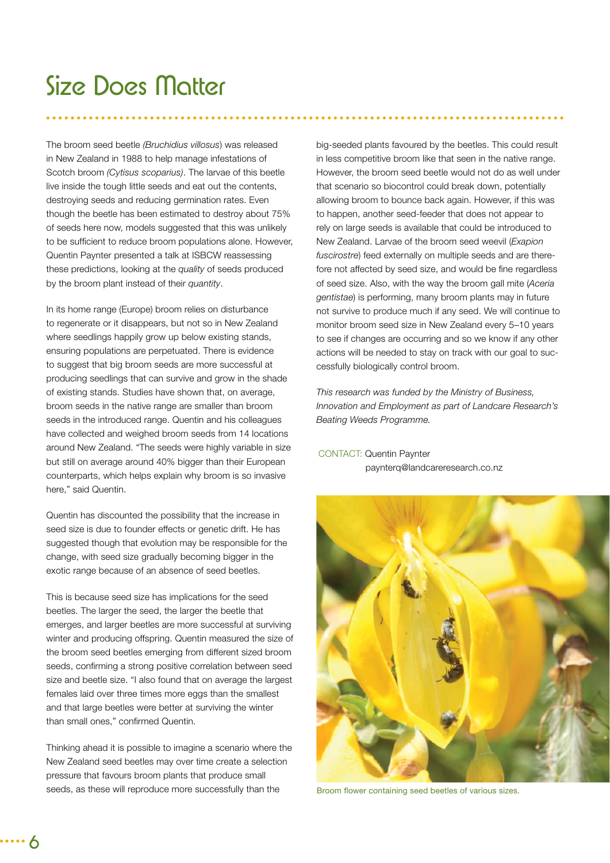### Size Does Matter

The broom seed beetle *(Bruchidius villosus*) was released in New Zealand in 1988 to help manage infestations of Scotch broom *(Cytisus scoparius)*. The larvae of this beetle live inside the tough little seeds and eat out the contents, destroying seeds and reducing germination rates. Even though the beetle has been estimated to destroy about 75% of seeds here now, models suggested that this was unlikely to be sufficient to reduce broom populations alone. However, Quentin Paynter presented a talk at ISBCW reassessing these predictions, looking at the *quality* of seeds produced by the broom plant instead of their *quantity*.

In its home range (Europe) broom relies on disturbance to regenerate or it disappears, but not so in New Zealand where seedlings happily grow up below existing stands, ensuring populations are perpetuated. There is evidence to suggest that big broom seeds are more successful at producing seedlings that can survive and grow in the shade of existing stands. Studies have shown that, on average, broom seeds in the native range are smaller than broom seeds in the introduced range. Quentin and his colleagues have collected and weighed broom seeds from 14 locations around New Zealand. "The seeds were highly variable in size but still on average around 40% bigger than their European counterparts, which helps explain why broom is so invasive here," said Quentin.

Quentin has discounted the possibility that the increase in seed size is due to founder effects or genetic drift. He has suggested though that evolution may be responsible for the change, with seed size gradually becoming bigger in the exotic range because of an absence of seed beetles.

This is because seed size has implications for the seed beetles. The larger the seed, the larger the beetle that emerges, and larger beetles are more successful at surviving winter and producing offspring. Quentin measured the size of the broom seed beetles emerging from different sized broom seeds, confirming a strong positive correlation between seed size and beetle size. "I also found that on average the largest females laid over three times more eggs than the smallest and that large beetles were better at surviving the winter than small ones," confirmed Quentin.

Thinking ahead it is possible to imagine a scenario where the New Zealand seed beetles may over time create a selection pressure that favours broom plants that produce small seeds, as these will reproduce more successfully than the

big-seeded plants favoured by the beetles. This could result in less competitive broom like that seen in the native range. However, the broom seed beetle would not do as well under that scenario so biocontrol could break down, potentially allowing broom to bounce back again. However, if this was to happen, another seed-feeder that does not appear to rely on large seeds is available that could be introduced to New Zealand. Larvae of the broom seed weevil (*Exapion fuscirostre*) feed externally on multiple seeds and are therefore not affected by seed size, and would be fine regardless of seed size. Also, with the way the broom gall mite (*Aceria gentistae*) is performing, many broom plants may in future not survive to produce much if any seed. We will continue to monitor broom seed size in New Zealand every 5–10 years to see if changes are occurring and so we know if any other actions will be needed to stay on track with our goal to successfully biologically control broom.

*This research was funded by the Ministry of Business, Innovation and Employment as part of Landcare Research's Beating Weeds Programme.*

#### CONTACT: Quentin Paynter paynterq@landcareresearch.co.nz



Broom flower containing seed beetles of various sizes.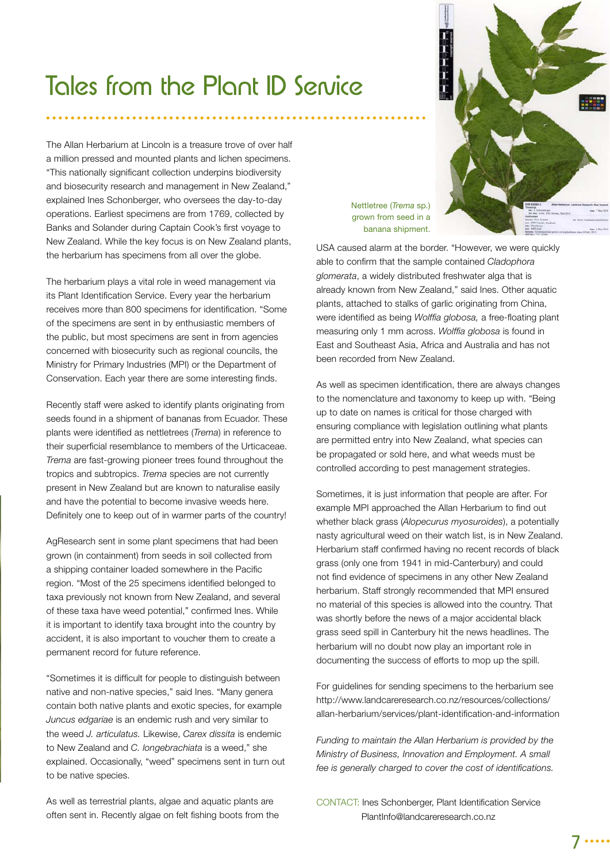### Tales from the Plant ID Service

The Allan Herbarium at Lincoln is a treasure trove of over half a million pressed and mounted plants and lichen specimens. "This nationally significant collection underpins biodiversity and biosecurity research and management in New Zealand," explained Ines Schonberger, who oversees the day-to-day operations. Earliest specimens are from 1769, collected by Banks and Solander during Captain Cook's first voyage to New Zealand. While the key focus is on New Zealand plants, the herbarium has specimens from all over the globe.

The herbarium plays a vital role in weed management via its Plant Identification Service. Every year the herbarium receives more than 800 specimens for identification. "Some of the specimens are sent in by enthusiastic members of the public, but most specimens are sent in from agencies concerned with biosecurity such as regional councils, the Ministry for Primary Industries (MPI) or the Department of Conservation. Each year there are some interesting finds.

Recently staff were asked to identify plants originating from seeds found in a shipment of bananas from Ecuador. These plants were identified as nettletrees (*Trema*) in reference to their superficial resemblance to members of the Urticaceae. *Trema* are fast-growing pioneer trees found throughout the tropics and subtropics. *Trema* species are not currently present in New Zealand but are known to naturalise easily and have the potential to become invasive weeds here. Definitely one to keep out of in warmer parts of the country!

AgResearch sent in some plant specimens that had been grown (in containment) from seeds in soil collected from a shipping container loaded somewhere in the Pacific region. "Most of the 25 specimens identified belonged to taxa previously not known from New Zealand, and several of these taxa have weed potential," confirmed Ines. While it is important to identify taxa brought into the country by accident, it is also important to voucher them to create a permanent record for future reference.

"Sometimes it is difficult for people to distinguish between native and non-native species," said Ines. "Many genera contain both native plants and exotic species, for example *Juncus edgariae* is an endemic rush and very similar to the weed *J. articulatus.* Likewise, *Carex dissita* is endemic to New Zealand and *C. longebrachiata* is a weed," she explained. Occasionally, "weed" specimens sent in turn out to be native species.

As well as terrestrial plants, algae and aquatic plants are often sent in. Recently algae on felt fishing boots from the Nettletree (*Trema* sp.) grown from seed in a banana shipment.

USA caused alarm at the border. "However, we were quickly able to confirm that the sample contained *Cladophora glomerata*, a widely distributed freshwater alga that is already known from New Zealand," said Ines. Other aquatic plants, attached to stalks of garlic originating from China, were identified as being *Wolffia globosa*, a free-floating plant measuring only 1 mm across. Wolffia globosa is found in East and Southeast Asia, Africa and Australia and has not been recorded from New Zealand.

As well as specimen identification, there are always changes to the nomenclature and taxonomy to keep up with. "Being up to date on names is critical for those charged with ensuring compliance with legislation outlining what plants are permitted entry into New Zealand, what species can be propagated or sold here, and what weeds must be controlled according to pest management strategies.

Sometimes, it is just information that people are after. For example MPI approached the Allan Herbarium to find out whether black grass (*Alopecurus myosuroides*), a potentially nasty agricultural weed on their watch list, is in New Zealand. Herbarium staff confirmed having no recent records of black grass (only one from 1941 in mid-Canterbury) and could not find evidence of specimens in any other New Zealand herbarium. Staff strongly recommended that MPI ensured no material of this species is allowed into the country. That was shortly before the news of a major accidental black grass seed spill in Canterbury hit the news headlines. The herbarium will no doubt now play an important role in documenting the success of efforts to mop up the spill.

For guidelines for sending specimens to the herbarium see http://www.landcareresearch.co.nz/resources/collections/ allan-herbarium/services/plant-identification-and-information

*Funding to maintain the Allan Herbarium is provided by the Ministry of Business, Innovation and Employment. A small*  fee is generally charged to cover the cost of identifications.

CONTACT: Ines Schonberger, Plant Identification Service PlantInfo@landcareresearch.co.nz



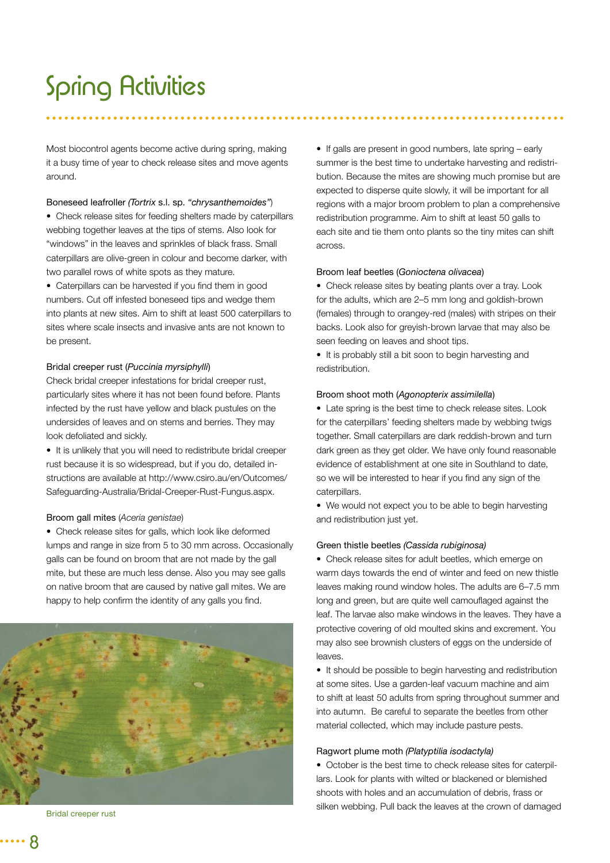## Spring Activities

Most biocontrol agents become active during spring, making it a busy time of year to check release sites and move agents around.

#### Boneseed leafroller *(Tortrix* s.l. sp. *"chrysanthemoides"*)

• Check release sites for feeding shelters made by caterpillars webbing together leaves at the tips of stems. Also look for "windows" in the leaves and sprinkles of black frass. Small caterpillars are olive-green in colour and become darker, with two parallel rows of white spots as they mature.

• Caterpillars can be harvested if you find them in good numbers. Cut off infested boneseed tips and wedge them into plants at new sites. Aim to shift at least 500 caterpillars to sites where scale insects and invasive ants are not known to be present.

#### Bridal creeper rust (*Puccinia myrsiphylli*)

Check bridal creeper infestations for bridal creeper rust, particularly sites where it has not been found before. Plants infected by the rust have yellow and black pustules on the undersides of leaves and on stems and berries. They may look defoliated and sickly.

• It is unlikely that you will need to redistribute bridal creeper rust because it is so widespread, but if you do, detailed instructions are available at http://www.csiro.au/en/Outcomes/ Safeguarding-Australia/Bridal-Creeper-Rust-Fungus.aspx.

#### Broom gall mites (*Aceria genistae*)

• Check release sites for galls, which look like deformed lumps and range in size from 5 to 30 mm across. Occasionally galls can be found on broom that are not made by the gall mite, but these are much less dense. Also you may see galls on native broom that are caused by native gall mites. We are happy to help confirm the identity of any galls you find.



Bridal creeper rust

• If galls are present in good numbers, late spring – early summer is the best time to undertake harvesting and redistribution. Because the mites are showing much promise but are expected to disperse quite slowly, it will be important for all regions with a major broom problem to plan a comprehensive redistribution programme. Aim to shift at least 50 galls to each site and tie them onto plants so the tiny mites can shift across

#### Broom leaf beetles (*Gonioctena olivacea*)

• Check release sites by beating plants over a tray. Look for the adults, which are 2–5 mm long and goldish-brown (females) through to orangey-red (males) with stripes on their backs. Look also for greyish-brown larvae that may also be seen feeding on leaves and shoot tips.

• It is probably still a bit soon to begin harvesting and redistribution.

#### Broom shoot moth (*Agonopterix assimilella*)

• Late spring is the best time to check release sites. Look for the caterpillars' feeding shelters made by webbing twigs together. Small caterpillars are dark reddish-brown and turn dark green as they get older. We have only found reasonable evidence of establishment at one site in Southland to date, so we will be interested to hear if you find any sign of the caterpillars.

• We would not expect you to be able to begin harvesting and redistribution just yet.

#### Green thistle beetles *(Cassida rubiginosa)*

*•* Check release sites for adult beetles, which emerge on warm days towards the end of winter and feed on new thistle leaves making round window holes. The adults are 6–7.5 mm long and green, but are quite well camouflaged against the leaf. The larvae also make windows in the leaves. They have a protective covering of old moulted skins and excrement. You may also see brownish clusters of eggs on the underside of leaves.

• It should be possible to begin harvesting and redistribution at some sites. Use a garden-leaf vacuum machine and aim to shift at least 50 adults from spring throughout summer and into autumn. Be careful to separate the beetles from other material collected, which may include pasture pests.

#### Ragwort plume moth *(Platyptilia isodactyla)*

*•* October is the best time to check release sites for caterpillars. Look for plants with wilted or blackened or blemished shoots with holes and an accumulation of debris, frass or silken webbing. Pull back the leaves at the crown of damaged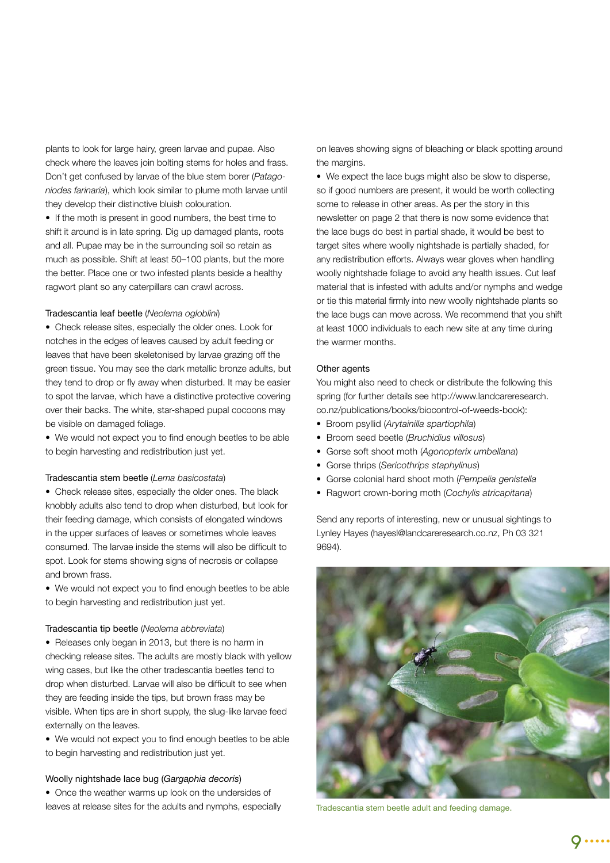plants to look for large hairy, green larvae and pupae. Also check where the leaves join bolting stems for holes and frass. Don't get confused by larvae of the blue stem borer (*Patagoniodes farinaria*), which look similar to plume moth larvae until they develop their distinctive bluish colouration.

• If the moth is present in good numbers, the best time to shift it around is in late spring. Dig up damaged plants, roots and all. Pupae may be in the surrounding soil so retain as much as possible. Shift at least 50–100 plants, but the more the better. Place one or two infested plants beside a healthy ragwort plant so any caterpillars can crawl across.

#### Tradescantia leaf beetle (*Neolema ogloblini*)

• Check release sites, especially the older ones. Look for notches in the edges of leaves caused by adult feeding or leaves that have been skeletonised by larvae grazing off the green tissue. You may see the dark metallic bronze adults, but they tend to drop or fly away when disturbed. It may be easier to spot the larvae, which have a distinctive protective covering over their backs. The white, star-shaped pupal cocoons may be visible on damaged foliage.

• We would not expect you to find enough beetles to be able to begin harvesting and redistribution just yet.

#### Tradescantia stem beetle (*Lema basicostata*)

• Check release sites, especially the older ones. The black knobbly adults also tend to drop when disturbed, but look for their feeding damage, which consists of elongated windows in the upper surfaces of leaves or sometimes whole leaves consumed. The larvae inside the stems will also be difficult to spot. Look for stems showing signs of necrosis or collapse and brown frass.

• We would not expect you to find enough beetles to be able to begin harvesting and redistribution just yet.

#### Tradescantia tip beetle (*Neolema abbreviata*)

• Releases only began in 2013, but there is no harm in checking release sites. The adults are mostly black with yellow wing cases, but like the other tradescantia beetles tend to drop when disturbed. Larvae will also be difficult to see when they are feeding inside the tips, but brown frass may be visible. When tips are in short supply, the slug-like larvae feed externally on the leaves.

• We would not expect you to find enough beetles to be able to begin harvesting and redistribution just yet.

#### Woolly nightshade lace bug (*Gargaphia decoris*)

• Once the weather warms up look on the undersides of leaves at release sites for the adults and nymphs, especially

on leaves showing signs of bleaching or black spotting around the margins.

• We expect the lace bugs might also be slow to disperse, so if good numbers are present, it would be worth collecting some to release in other areas. As per the story in this newsletter on page 2 that there is now some evidence that the lace bugs do best in partial shade, it would be best to target sites where woolly nightshade is partially shaded, for any redistribution efforts. Always wear gloves when handling woolly nightshade foliage to avoid any health issues. Cut leaf material that is infested with adults and/or nymphs and wedge or tie this material firmly into new woolly nightshade plants so the lace bugs can move across. We recommend that you shift at least 1000 individuals to each new site at any time during the warmer months.

#### Other agents

You might also need to check or distribute the following this spring (for further details see http://www.landcareresearch. co.nz/publications/books/biocontrol-of-weeds-book):

- Broom psyllid (*Arytainilla spartiophila*)
- Broom seed beetle (*Bruchidius villosus*)
- Gorse soft shoot moth (*Agonopterix umbellana*)
- Gorse thrips (*Sericothrips staphylinus*)
- Gorse colonial hard shoot moth (*Pempelia genistella*
- Ragwort crown-boring moth (*Cochylis atricapitana*)

Send any reports of interesting, new or unusual sightings to Lynley Hayes (hayesl@landcareresearch.co.nz, Ph 03 321 9694).



Tradescantia stem beetle adult and feeding damage.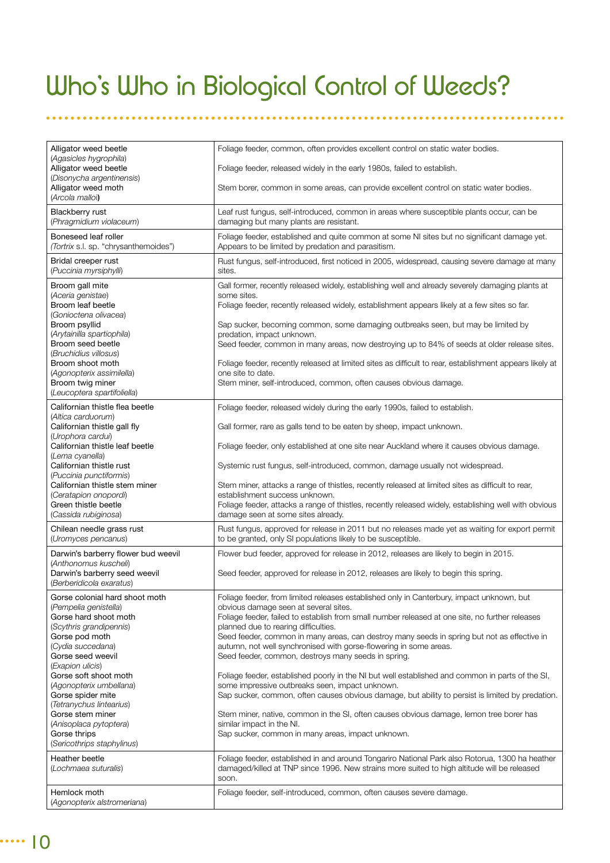# Who's Who in Biological Control of Weeds?

| Alligator weed beetle<br>(Agasicles hygrophila)                                                                                                                                                                                                      | Foliage feeder, common, often provides excellent control on static water bodies.                                                                                                                                                                                                                                                                                                                                                                                                                                                                                                                                                         |
|------------------------------------------------------------------------------------------------------------------------------------------------------------------------------------------------------------------------------------------------------|------------------------------------------------------------------------------------------------------------------------------------------------------------------------------------------------------------------------------------------------------------------------------------------------------------------------------------------------------------------------------------------------------------------------------------------------------------------------------------------------------------------------------------------------------------------------------------------------------------------------------------------|
| Alligator weed beetle<br>(Disonycha argentinensis)                                                                                                                                                                                                   | Foliage feeder, released widely in the early 1980s, failed to establish.                                                                                                                                                                                                                                                                                                                                                                                                                                                                                                                                                                 |
| Alligator weed moth<br>(Arcola malloi)                                                                                                                                                                                                               | Stem borer, common in some areas, can provide excellent control on static water bodies.                                                                                                                                                                                                                                                                                                                                                                                                                                                                                                                                                  |
| Blackberry rust<br>(Phragmidium violaceum)                                                                                                                                                                                                           | Leaf rust fungus, self-introduced, common in areas where susceptible plants occur, can be<br>damaging but many plants are resistant.                                                                                                                                                                                                                                                                                                                                                                                                                                                                                                     |
| Boneseed leaf roller<br>(Tortrix s.l. sp. "chrysanthemoides")                                                                                                                                                                                        | Foliage feeder, established and quite common at some NI sites but no significant damage yet.<br>Appears to be limited by predation and parasitism.                                                                                                                                                                                                                                                                                                                                                                                                                                                                                       |
| Bridal creeper rust<br>(Puccinia myrsiphylli)                                                                                                                                                                                                        | Rust fungus, self-introduced, first noticed in 2005, widespread, causing severe damage at many<br>sites.                                                                                                                                                                                                                                                                                                                                                                                                                                                                                                                                 |
| Broom gall mite<br>(Aceria genistae)<br>Broom leaf beetle<br>(Gonioctena olivacea)<br>Broom psyllid<br>(Arytainilla spartiophila)<br>Broom seed beetle<br>(Bruchidius villosus)<br>Broom shoot moth<br>(Agonopterix assimilella)<br>Broom twig miner | Gall former, recently released widely, establishing well and already severely damaging plants at<br>some sites.<br>Foliage feeder, recently released widely, establishment appears likely at a few sites so far.<br>Sap sucker, becoming common, some damaging outbreaks seen, but may be limited by<br>predation, impact unknown.<br>Seed feeder, common in many areas, now destroying up to 84% of seeds at older release sites.<br>Foliage feeder, recently released at limited sites as difficult to rear, establishment appears likely at<br>one site to date.<br>Stem miner, self-introduced, common, often causes obvious damage. |
| (Leucoptera spartifoliella)<br>Californian thistle flea beetle                                                                                                                                                                                       | Foliage feeder, released widely during the early 1990s, failed to establish.                                                                                                                                                                                                                                                                                                                                                                                                                                                                                                                                                             |
| (Altica carduorum)<br>Californian thistle gall fly                                                                                                                                                                                                   |                                                                                                                                                                                                                                                                                                                                                                                                                                                                                                                                                                                                                                          |
| (Urophora cardui)<br>Californian thistle leaf beetle                                                                                                                                                                                                 | Gall former, rare as galls tend to be eaten by sheep, impact unknown.<br>Foliage feeder, only established at one site near Auckland where it causes obvious damage.                                                                                                                                                                                                                                                                                                                                                                                                                                                                      |
| (Lema cyanella)<br>Californian thistle rust                                                                                                                                                                                                          | Systemic rust fungus, self-introduced, common, damage usually not widespread.                                                                                                                                                                                                                                                                                                                                                                                                                                                                                                                                                            |
| (Puccinia punctiformis)<br>Californian thistle stem miner<br>(Ceratapion onopordi)<br>Green thistle beetle<br>(Cassida rubiginosa)                                                                                                                   | Stem miner, attacks a range of thistles, recently released at limited sites as difficult to rear,<br>establishment success unknown.<br>Foliage feeder, attacks a range of thistles, recently released widely, establishing well with obvious<br>damage seen at some sites already.                                                                                                                                                                                                                                                                                                                                                       |
| Chilean needle grass rust<br>(Uromyces pencanus)                                                                                                                                                                                                     | Rust fungus, approved for release in 2011 but no releases made yet as waiting for export permit<br>to be granted, only SI populations likely to be susceptible.                                                                                                                                                                                                                                                                                                                                                                                                                                                                          |
| Darwin's barberry flower bud weevil                                                                                                                                                                                                                  | Flower bud feeder, approved for release in 2012, releases are likely to begin in 2015.                                                                                                                                                                                                                                                                                                                                                                                                                                                                                                                                                   |
| (Anthonomus kuscheli)<br>Darwin's barberry seed weevil<br>(Berberidicola exaratus)                                                                                                                                                                   | Seed feeder, approved for release in 2012, releases are likely to begin this spring.                                                                                                                                                                                                                                                                                                                                                                                                                                                                                                                                                     |
| Gorse colonial hard shoot moth<br>(Pempelia genistella)<br>Gorse hard shoot moth<br>(Scythris grandipennis)<br>Gorse pod moth<br>(Cydia succedana)<br>Gorse seed weevil                                                                              | Foliage feeder, from limited releases established only in Canterbury, impact unknown, but<br>obvious damage seen at several sites.<br>Foliage feeder, failed to establish from small number released at one site, no further releases<br>planned due to rearing difficulties.<br>Seed feeder, common in many areas, can destroy many seeds in spring but not as effective in<br>autumn, not well synchronised with gorse-flowering in some areas.<br>Seed feeder, common, destroys many seeds in spring.                                                                                                                                 |
| (Exapion ulicis)<br>Gorse soft shoot moth<br>(Agonopterix umbellana)<br>Gorse spider mite                                                                                                                                                            | Foliage feeder, established poorly in the NI but well established and common in parts of the SI,<br>some impressive outbreaks seen, impact unknown.<br>Sap sucker, common, often causes obvious damage, but ability to persist is limited by predation.                                                                                                                                                                                                                                                                                                                                                                                  |
| (Tetranychus lintearius)<br>Gorse stem miner<br>(Anisoplaca pytoptera)<br>Gorse thrips<br>(Sericothrips staphylinus)                                                                                                                                 | Stem miner, native, common in the SI, often causes obvious damage, lemon tree borer has<br>similar impact in the NI.<br>Sap sucker, common in many areas, impact unknown.                                                                                                                                                                                                                                                                                                                                                                                                                                                                |
| Heather beetle<br>(Lochmaea suturalis)                                                                                                                                                                                                               | Foliage feeder, established in and around Tongariro National Park also Rotorua, 1300 ha heather<br>damaged/killed at TNP since 1996. New strains more suited to high altitude will be released<br>soon.                                                                                                                                                                                                                                                                                                                                                                                                                                  |
| Hemlock moth<br>(Agonopterix alstromeriana)                                                                                                                                                                                                          | Foliage feeder, self-introduced, common, often causes severe damage.                                                                                                                                                                                                                                                                                                                                                                                                                                                                                                                                                                     |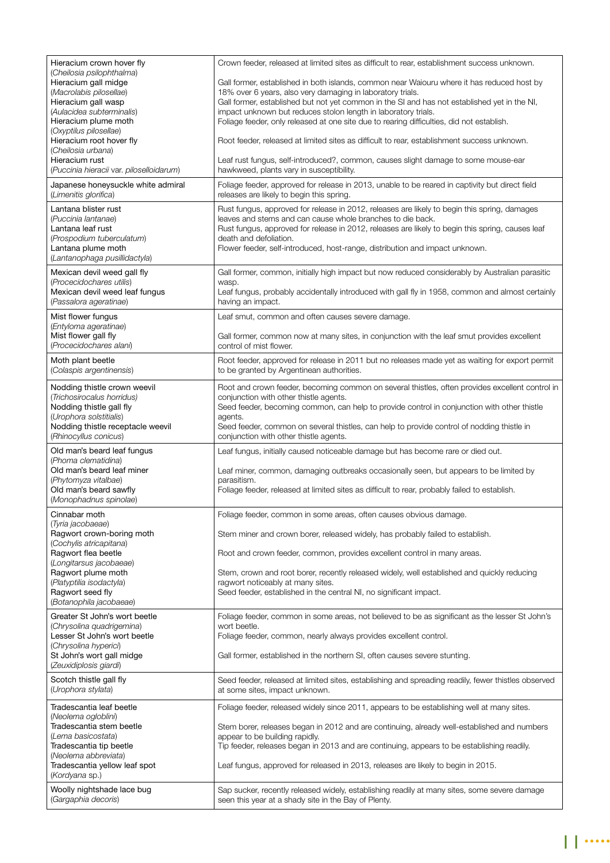| Hieracium crown hover fly<br>(Cheilosia psilophthalma)<br>Hieracium gall midge<br>(Macrolabis pilosellae)<br>Hieracium gall wasp<br>(Aulacidea subterminalis)<br>Hieracium plume moth<br>(Oxyptilus pilosellae)<br>Hieracium root hover fly<br>(Cheilosia urbana)<br>Hieracium rust<br>(Puccinia hieracii var. piloselloidarum)<br>Japanese honeysuckle white admiral<br>(Limenitis glorifica)<br>Lantana blister rust<br>(Puccinia lantanae)<br>Lantana leaf rust<br>(Prospodium tuberculatum)<br>Lantana plume moth<br>(Lantanophaga pusillidactyla) | Crown feeder, released at limited sites as difficult to rear, establishment success unknown.<br>Gall former, established in both islands, common near Waiouru where it has reduced host by<br>18% over 6 years, also very damaging in laboratory trials.<br>Gall former, established but not yet common in the SI and has not established yet in the NI,<br>impact unknown but reduces stolon length in laboratory trials.<br>Foliage feeder, only released at one site due to rearing difficulties, did not establish.<br>Root feeder, released at limited sites as difficult to rear, establishment success unknown.<br>Leaf rust fungus, self-introduced?, common, causes slight damage to some mouse-ear<br>hawkweed, plants vary in susceptibility.<br>Foliage feeder, approved for release in 2013, unable to be reared in captivity but direct field<br>releases are likely to begin this spring.<br>Rust fungus, approved for release in 2012, releases are likely to begin this spring, damages<br>leaves and stems and can cause whole branches to die back.<br>Rust fungus, approved for release in 2012, releases are likely to begin this spring, causes leaf<br>death and defoliation.<br>Flower feeder, self-introduced, host-range, distribution and impact unknown. |
|--------------------------------------------------------------------------------------------------------------------------------------------------------------------------------------------------------------------------------------------------------------------------------------------------------------------------------------------------------------------------------------------------------------------------------------------------------------------------------------------------------------------------------------------------------|--------------------------------------------------------------------------------------------------------------------------------------------------------------------------------------------------------------------------------------------------------------------------------------------------------------------------------------------------------------------------------------------------------------------------------------------------------------------------------------------------------------------------------------------------------------------------------------------------------------------------------------------------------------------------------------------------------------------------------------------------------------------------------------------------------------------------------------------------------------------------------------------------------------------------------------------------------------------------------------------------------------------------------------------------------------------------------------------------------------------------------------------------------------------------------------------------------------------------------------------------------------------------------------|
| Mexican devil weed gall fly<br>(Procecidochares utilis)<br>Mexican devil weed leaf fungus<br>(Passalora ageratinae)                                                                                                                                                                                                                                                                                                                                                                                                                                    | Gall former, common, initially high impact but now reduced considerably by Australian parasitic<br>wasp.<br>Leaf fungus, probably accidentally introduced with gall fly in 1958, common and almost certainly<br>having an impact.                                                                                                                                                                                                                                                                                                                                                                                                                                                                                                                                                                                                                                                                                                                                                                                                                                                                                                                                                                                                                                                    |
| Mist flower fungus<br>(Entyloma ageratinae)<br>Mist flower gall fly<br>(Procecidochares alani)                                                                                                                                                                                                                                                                                                                                                                                                                                                         | Leaf smut, common and often causes severe damage.<br>Gall former, common now at many sites, in conjunction with the leaf smut provides excellent<br>control of mist flower.                                                                                                                                                                                                                                                                                                                                                                                                                                                                                                                                                                                                                                                                                                                                                                                                                                                                                                                                                                                                                                                                                                          |
| Moth plant beetle<br>(Colaspis argentinensis)                                                                                                                                                                                                                                                                                                                                                                                                                                                                                                          | Root feeder, approved for release in 2011 but no releases made yet as waiting for export permit<br>to be granted by Argentinean authorities.                                                                                                                                                                                                                                                                                                                                                                                                                                                                                                                                                                                                                                                                                                                                                                                                                                                                                                                                                                                                                                                                                                                                         |
| Nodding thistle crown weevil<br>(Trichosirocalus horridus)<br>Nodding thistle gall fly<br>(Urophora solstitialis)<br>Nodding thistle receptacle weevil<br>(Rhinocyllus conicus)                                                                                                                                                                                                                                                                                                                                                                        | Root and crown feeder, becoming common on several thistles, often provides excellent control in<br>conjunction with other thistle agents.<br>Seed feeder, becoming common, can help to provide control in conjunction with other thistle<br>agents.<br>Seed feeder, common on several thistles, can help to provide control of nodding thistle in<br>conjunction with other thistle agents.                                                                                                                                                                                                                                                                                                                                                                                                                                                                                                                                                                                                                                                                                                                                                                                                                                                                                          |
| Old man's beard leaf fungus<br>(Phoma clematidina)<br>Old man's beard leaf miner<br>(Phytomyza vitalbae)<br>Old man's beard sawfly<br>(Monophadnus spinolae)                                                                                                                                                                                                                                                                                                                                                                                           | Leaf fungus, initially caused noticeable damage but has become rare or died out.<br>Leaf miner, common, damaging outbreaks occasionally seen, but appears to be limited by<br>parasitism.<br>Foliage feeder, released at limited sites as difficult to rear, probably failed to establish.                                                                                                                                                                                                                                                                                                                                                                                                                                                                                                                                                                                                                                                                                                                                                                                                                                                                                                                                                                                           |
| Cinnabar moth<br>(Tyria jacobaeae)                                                                                                                                                                                                                                                                                                                                                                                                                                                                                                                     | Foliage feeder, common in some areas, often causes obvious damage.                                                                                                                                                                                                                                                                                                                                                                                                                                                                                                                                                                                                                                                                                                                                                                                                                                                                                                                                                                                                                                                                                                                                                                                                                   |
| Ragwort crown-boring moth<br>(Cochylis atricapitana)<br>Ragwort flea beetle<br>(Longitarsus jacobaeae)<br>Ragwort plume moth<br>(Platyptilia isodactyla)<br>Ragwort seed fly<br>(Botanophila jacobaeae)                                                                                                                                                                                                                                                                                                                                                | Stem miner and crown borer, released widely, has probably failed to establish.<br>Root and crown feeder, common, provides excellent control in many areas.<br>Stem, crown and root borer, recently released widely, well established and quickly reducing<br>ragwort noticeably at many sites.<br>Seed feeder, established in the central NI, no significant impact.                                                                                                                                                                                                                                                                                                                                                                                                                                                                                                                                                                                                                                                                                                                                                                                                                                                                                                                 |
| Greater St John's wort beetle<br>(Chrysolina quadrigemina)<br>Lesser St John's wort beetle<br>(Chrysolina hyperici)<br>St John's wort gall midge<br>(Zeuxidiplosis giardi)                                                                                                                                                                                                                                                                                                                                                                             | Foliage feeder, common in some areas, not believed to be as significant as the lesser St John's<br>wort beetle.<br>Foliage feeder, common, nearly always provides excellent control.<br>Gall former, established in the northern SI, often causes severe stunting.                                                                                                                                                                                                                                                                                                                                                                                                                                                                                                                                                                                                                                                                                                                                                                                                                                                                                                                                                                                                                   |
| Scotch thistle gall fly<br>(Urophora stylata)                                                                                                                                                                                                                                                                                                                                                                                                                                                                                                          | Seed feeder, released at limited sites, establishing and spreading readily, fewer thistles observed<br>at some sites, impact unknown.                                                                                                                                                                                                                                                                                                                                                                                                                                                                                                                                                                                                                                                                                                                                                                                                                                                                                                                                                                                                                                                                                                                                                |
| Tradescantia leaf beetle<br>(Neolema ogloblini)<br>Tradescantia stem beetle<br>(Lema basicostata)<br>Tradescantia tip beetle<br>(Neolema abbreviata)<br>Tradescantia yellow leaf spot<br>(Kordyana sp.)                                                                                                                                                                                                                                                                                                                                                | Foliage feeder, released widely since 2011, appears to be establishing well at many sites.<br>Stem borer, releases began in 2012 and are continuing, already well-established and numbers<br>appear to be building rapidly.<br>Tip feeder, releases began in 2013 and are continuing, appears to be establishing readily.<br>Leaf fungus, approved for released in 2013, releases are likely to begin in 2015.                                                                                                                                                                                                                                                                                                                                                                                                                                                                                                                                                                                                                                                                                                                                                                                                                                                                       |
| Woolly nightshade lace bug<br>(Gargaphia decoris)                                                                                                                                                                                                                                                                                                                                                                                                                                                                                                      | Sap sucker, recently released widely, establishing readily at many sites, some severe damage<br>seen this year at a shady site in the Bay of Plenty.                                                                                                                                                                                                                                                                                                                                                                                                                                                                                                                                                                                                                                                                                                                                                                                                                                                                                                                                                                                                                                                                                                                                 |

11<sup>....</sup>